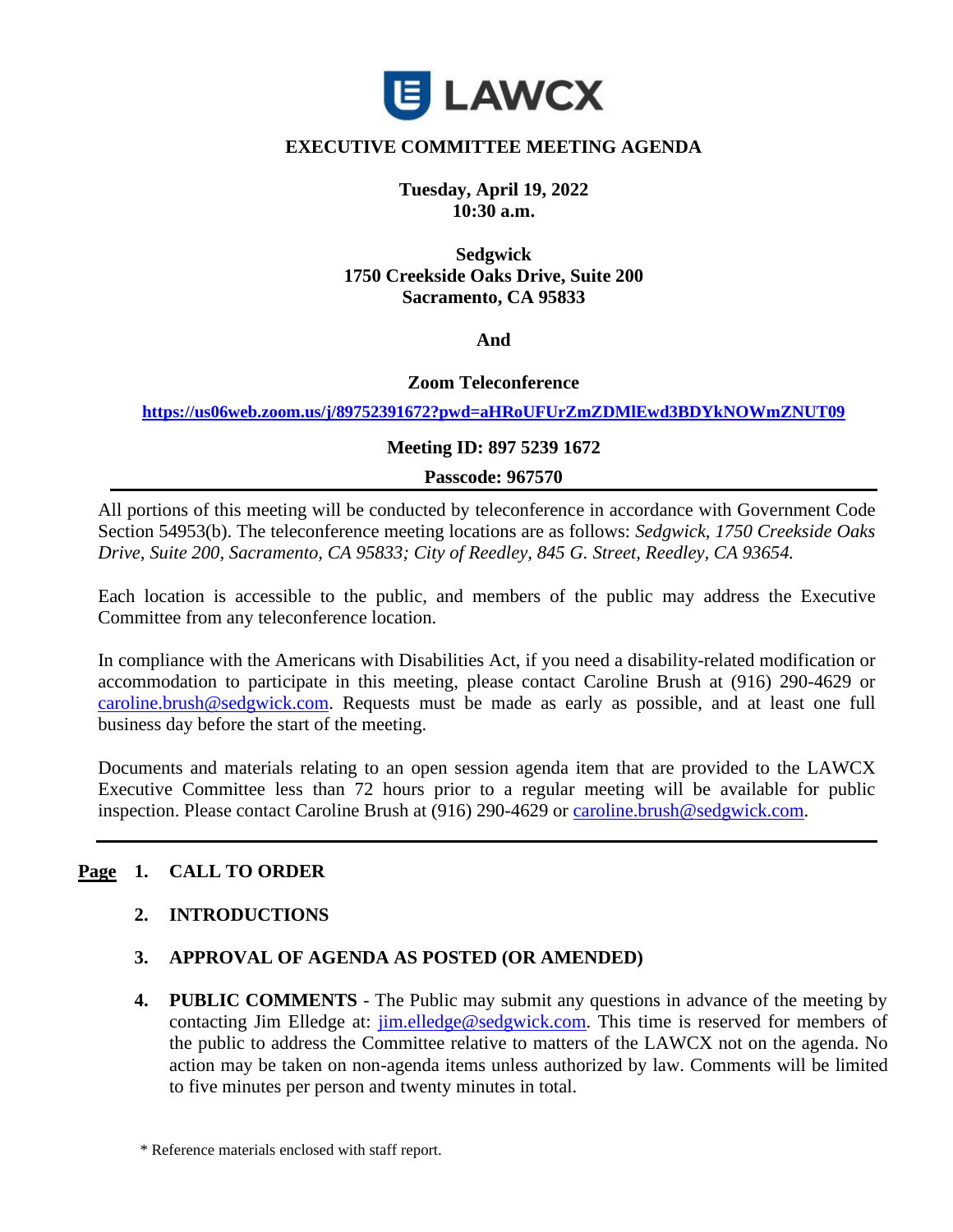

### **EXECUTIVE COMMITTEE MEETING AGENDA**

**Tuesday, April 19, 2022 10:30 a.m.**

**Sedgwick 1750 Creekside Oaks Drive, Suite 200 Sacramento, CA 95833**

**And** 

#### **Zoom Teleconference**

**<https://us06web.zoom.us/j/89752391672?pwd=aHRoUFUrZmZDMlEwd3BDYkNOWmZNUT09>**

#### **Meeting ID: 897 5239 1672**

#### **Passcode: 967570**

All portions of this meeting will be conducted by teleconference in accordance with Government Code Section 54953(b). The teleconference meeting locations are as follows: *Sedgwick, 1750 Creekside Oaks Drive, Suite 200, Sacramento, CA 95833; City of Reedley, 845 G. Street, Reedley, CA 93654.*

Each location is accessible to the public, and members of the public may address the Executive Committee from any teleconference location.

In compliance with the Americans with Disabilities Act, if you need a disability-related modification or accommodation to participate in this meeting, please contact Caroline Brush at (916) 290-4629 or [caroline.brush@sedgwick.com.](mailto:caroline.brush@sedgwick.com) Requests must be made as early as possible, and at least one full business day before the start of the meeting.

Documents and materials relating to an open session agenda item that are provided to the LAWCX Executive Committee less than 72 hours prior to a regular meeting will be available for public inspection. Please contact Caroline Brush at (916) 290-4629 or [caroline.brush@sedgwick.com.](mailto:caroline.brush@sedgwick.com)

### **Page 1. CALL TO ORDER**

### **2. INTRODUCTIONS**

### **3. APPROVAL OF AGENDA AS POSTED (OR AMENDED)**

**4. PUBLIC COMMENTS** - The Public may submit any questions in advance of the meeting by contacting Jim Elledge at: [jim.elledge@sedgwick.com.](mailto:jim.elledge@sedgwick.com) This time is reserved for members of the public to address the Committee relative to matters of the LAWCX not on the agenda. No action may be taken on non-agenda items unless authorized by law. Comments will be limited to five minutes per person and twenty minutes in total.

<sup>\*</sup> Reference materials enclosed with staff report.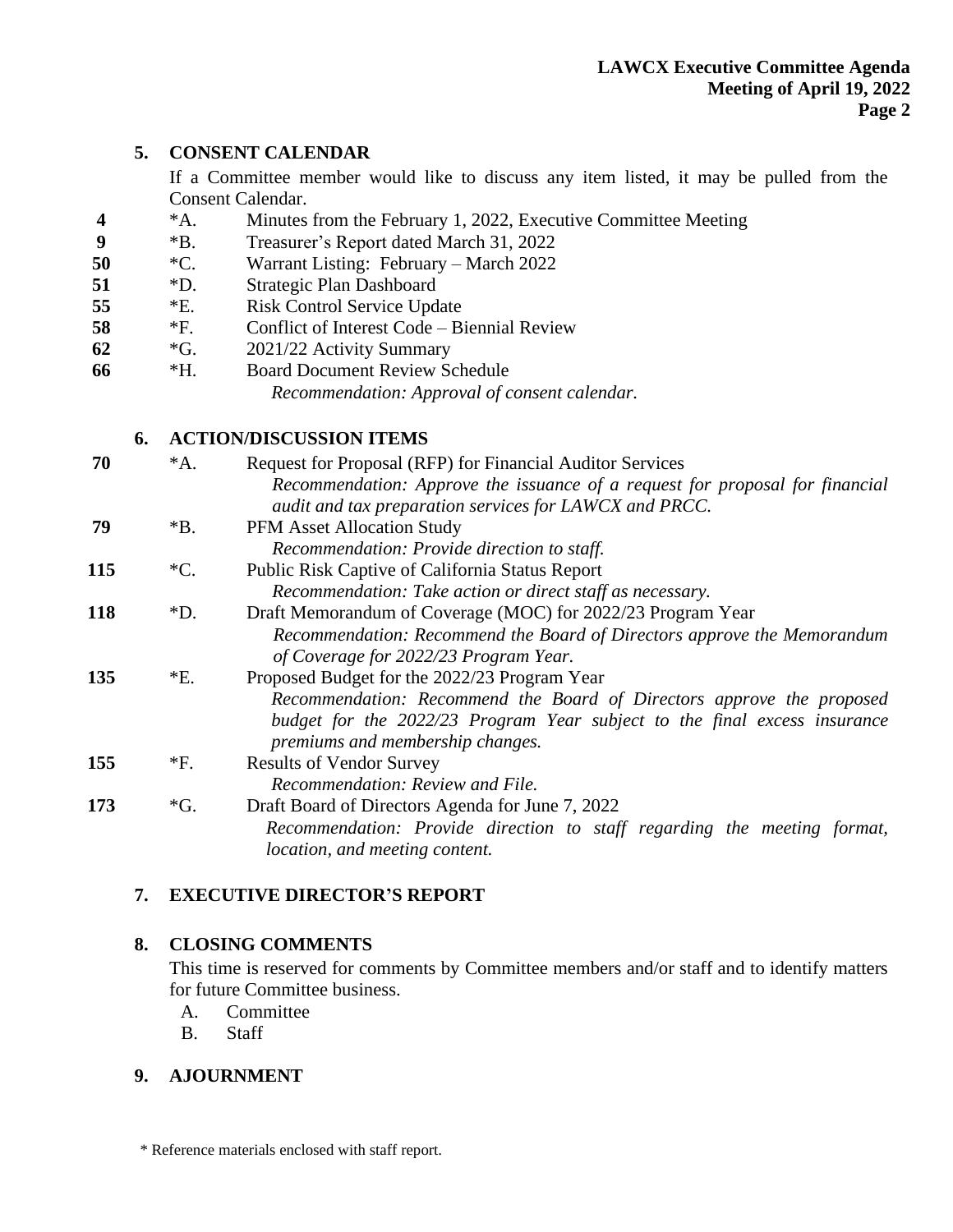# **5. CONSENT CALENDAR**

If a Committee member would like to discuss any item listed, it may be pulled from the Consent Calendar.

- **4** \*A. Minutes from the February 1, 2022, Executive Committee Meeting
- **9** \*B. Treasurer's Report dated March 31, 2022
- **50** \*C. Warrant Listing: February March 2022
- **51** \*D. Strategic Plan Dashboard
- **55** \*E. Risk Control Service Update
- **58** \*F. Conflict of Interest Code Biennial Review
- **62** \*G. 2021/22 Activity Summary
- **66** \*H. Board Document Review Schedule *Recommendation: Approval of consent calendar.*

# **6. ACTION/DISCUSSION ITEMS**

| 70  | $^*A.$          | Request for Proposal (RFP) for Financial Auditor Services                    |
|-----|-----------------|------------------------------------------------------------------------------|
|     |                 | Recommendation: Approve the issuance of a request for proposal for financial |
|     |                 | audit and tax preparation services for LAWCX and PRCC.                       |
| 79  | $*B.$           | <b>PFM Asset Allocation Study</b>                                            |
|     |                 | Recommendation: Provide direction to staff.                                  |
| 115 | $\rm ^*C.$      | Public Risk Captive of California Status Report                              |
|     |                 | Recommendation: Take action or direct staff as necessary.                    |
| 118 | $\mathrm{D}$ .  | Draft Memorandum of Coverage (MOC) for 2022/23 Program Year                  |
|     |                 | Recommendation: Recommend the Board of Directors approve the Memorandum      |
|     |                 | of Coverage for 2022/23 Program Year.                                        |
| 135 | $E$ .           | Proposed Budget for the 2022/23 Program Year                                 |
|     |                 | Recommendation: Recommend the Board of Directors approve the proposed        |
|     |                 | budget for the 2022/23 Program Year subject to the final excess insurance    |
|     |                 | premiums and membership changes.                                             |
| 155 | *F.             | <b>Results of Vendor Survey</b>                                              |
|     |                 | Recommendation: Review and File.                                             |
| 173 | $\mathcal{G}$ . | Draft Board of Directors Agenda for June 7, 2022                             |
|     |                 | Recommendation: Provide direction to staff regarding the meeting format,     |
|     |                 | location, and meeting content.                                               |

# **7. EXECUTIVE DIRECTOR'S REPORT**

# **8. CLOSING COMMENTS**

This time is reserved for comments by Committee members and/or staff and to identify matters for future Committee business.

- A. Committee
- B. Staff

# **9. AJOURNMENT**

\* Reference materials enclosed with staff report.